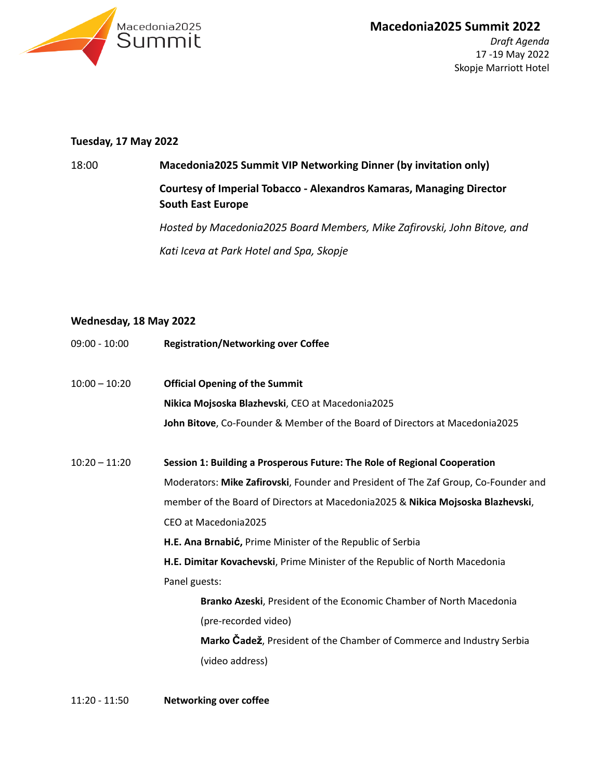

Skopje Marriott Hotel

## **Tuesday, 17 May 2022**

## 18:00 **Macedonia2025 Summit VIP Networking Dinner (by invitation only) Courtesy of Imperial Tobacco - Alexandros Kamaras, Managing Director South East Europe**

*Hosted by Macedonia2025 Board Members, Mike Zafirovski, John Bitove, and Kati Iceva at Park Hotel and Spa, Skopje*

## **Wednesday, 18 May 2022**

| 09:00 - 10:00   | <b>Registration/Networking over Coffee</b>                                          |
|-----------------|-------------------------------------------------------------------------------------|
| $10:00 - 10:20$ | <b>Official Opening of the Summit</b>                                               |
|                 | Nikica Mojsoska Blazhevski, CEO at Macedonia2025                                    |
|                 | John Bitove, Co-Founder & Member of the Board of Directors at Macedonia2025         |
| $10:20 - 11:20$ | Session 1: Building a Prosperous Future: The Role of Regional Cooperation           |
|                 | Moderators: Mike Zafirovski, Founder and President of The Zaf Group, Co-Founder and |
|                 | member of the Board of Directors at Macedonia2025 & Nikica Mojsoska Blazhevski,     |
|                 | CEO at Macedonia2025                                                                |
|                 | H.E. Ana Brnabić, Prime Minister of the Republic of Serbia                          |
|                 | H.E. Dimitar Kovachevski, Prime Minister of the Republic of North Macedonia         |
|                 | Panel guests:                                                                       |
|                 | Branko Azeski, President of the Economic Chamber of North Macedonia                 |
|                 | (pre-recorded video)                                                                |
|                 | Marko Cadež, President of the Chamber of Commerce and Industry Serbia               |
|                 | (video address)                                                                     |
|                 |                                                                                     |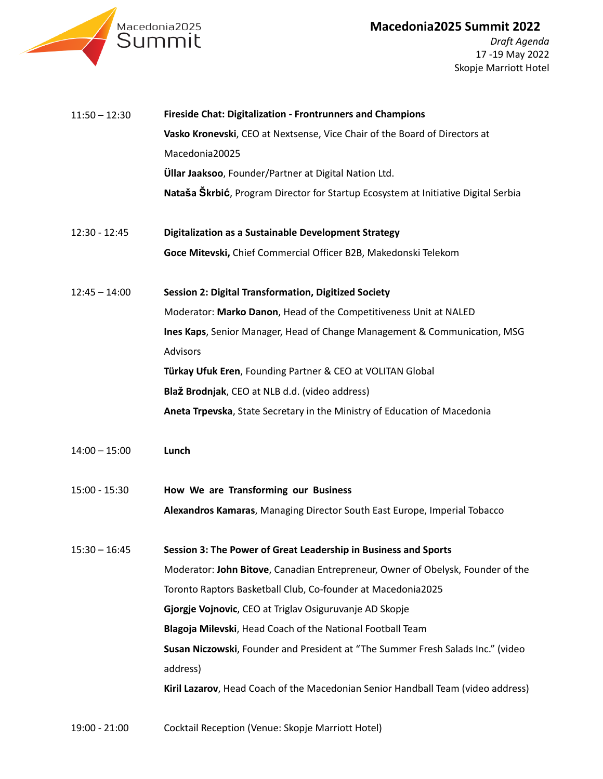



*Draft Agenda* 17 -19 May 2022 Skopje Marriott Hotel

| $11:50 - 12:30$ | Fireside Chat: Digitalization - Frontrunners and Champions                         |
|-----------------|------------------------------------------------------------------------------------|
|                 | Vasko Kronevski, CEO at Nextsense, Vice Chair of the Board of Directors at         |
|                 | Macedonia20025                                                                     |
|                 | <b>Üllar Jaaksoo</b> , Founder/Partner at Digital Nation Ltd.                      |
|                 | Nataša Škrbić, Program Director for Startup Ecosystem at Initiative Digital Serbia |
| $12:30 - 12:45$ | <b>Digitalization as a Sustainable Development Strategy</b>                        |
|                 | Goce Mitevski, Chief Commercial Officer B2B, Makedonski Telekom                    |
| $12:45 - 14:00$ | <b>Session 2: Digital Transformation, Digitized Society</b>                        |
|                 | Moderator: Marko Danon, Head of the Competitiveness Unit at NALED                  |
|                 | Ines Kaps, Senior Manager, Head of Change Management & Communication, MSG          |
|                 | Advisors                                                                           |
|                 | Türkay Ufuk Eren, Founding Partner & CEO at VOLITAN Global                         |
|                 | Blaž Brodnjak, CEO at NLB d.d. (video address)                                     |
|                 | Aneta Trpevska, State Secretary in the Ministry of Education of Macedonia          |
| $14:00 - 15:00$ | Lunch                                                                              |
| $15:00 - 15:30$ | How We are Transforming our Business                                               |
|                 | Alexandros Kamaras, Managing Director South East Europe, Imperial Tobacco          |
| $15:30 - 16:45$ | Session 3: The Power of Great Leadership in Business and Sports                    |
|                 | Moderator: John Bitove, Canadian Entrepreneur, Owner of Obelysk, Founder of the    |
|                 | Toronto Raptors Basketball Club, Co-founder at Macedonia2025                       |
|                 | Gjorgje Vojnovic, CEO at Triglav Osiguruvanje AD Skopje                            |
|                 | Blagoja Milevski, Head Coach of the National Football Team                         |
|                 | Susan Niczowski, Founder and President at "The Summer Fresh Salads Inc." (video    |
|                 | address)                                                                           |
|                 | Kiril Lazarov, Head Coach of the Macedonian Senior Handball Team (video address)   |
|                 |                                                                                    |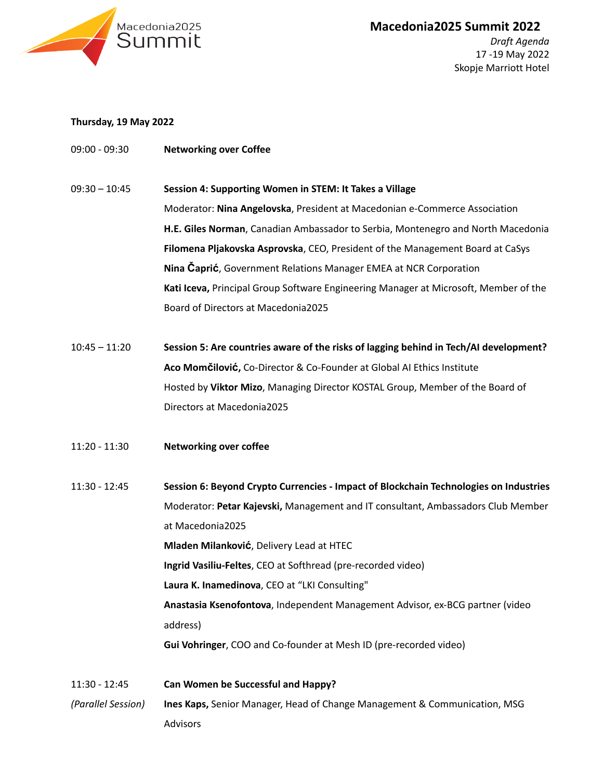

Skopje Marriott Hotel

## **Thursday, 19 May 2022**

- 09:00 09:30 **Networking over Coffee**
- $09:30 10:45$ **Session 4: Supporting Women in STEM: It Takes a Village** Moderator: **Nina Angelovska**, President at Macedonian e-Commerce Association **H.E. Giles Norman**, Canadian Ambassador to Serbia, Montenegro and North Macedonia **Filomena Pljakovska Asprovska**, CEO, President of the Management Board at CaSys **Nina Čaprić**, Government Relations Manager EMEA at NCR Corporation **Kati Iceva,** Principal Group Software Engineering Manager at Microsoft, Member of the Board of Directors at Macedonia2025
- 10:45 11:20 **Session 5: Are countries aware of the risks of lagging behind in Tech/AI development? Aco Momčilović,** Co-Director & Co-Founder at Global AI Ethics Institute Hosted by **Viktor Mizo**, Managing Director KOSTAL Group, Member of the Board of Directors at Macedonia2025
- 11:20 11:30 **Networking over coffee**
- 11:30 12:45 **Session 6: Beyond Crypto Currencies - Impact of Blockchain Technologies on Industries** Moderator: **Petar Kajevski,** Management and IT consultant, Ambassadors Club Member at Macedonia2025 **Mladen Milanković**, Delivery Lead at HTEC **Ingrid Vasiliu-Feltes**, CEO at Softhread (pre-recorded video) **Laura K. Inamedinova**, CEO at "LKI Consulting" **Anastasia Ksenofontova**, Independent Management Advisor, ex-BCG partner (video address) **Gui Vohringer**, COO and Co-founder at Mesh ID (pre-recorded video)
- 11:30 12:45 *(Parallel Session)* **Can Women be Successful and Happy? Ines Kaps,** Senior Manager, Head of Change Management & Communication, MSG Advisors